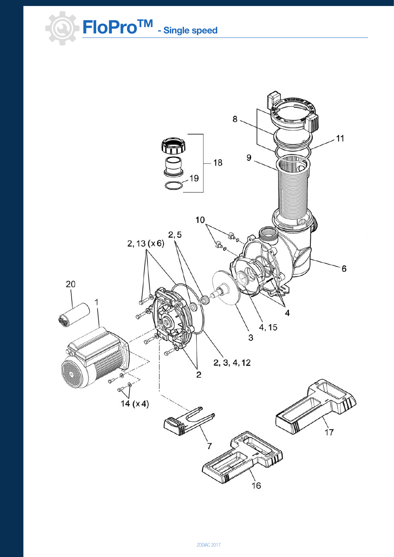**FloProTM - Single speed**